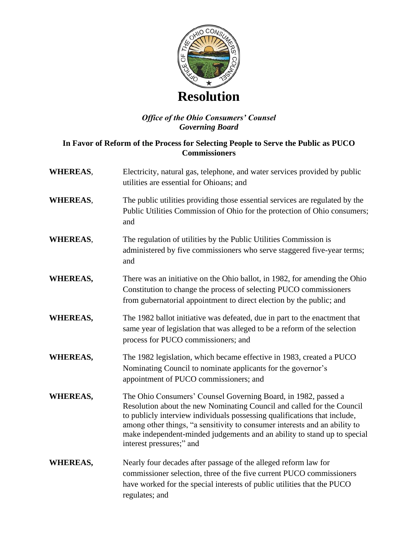

## *Office of the Ohio Consumers' Counsel Governing Board*

## **In Favor of Reform of the Process for Selecting People to Serve the Public as PUCO Commissioners**

- **WHEREAS**, Electricity, natural gas, telephone, and water services provided by public utilities are essential for Ohioans; and
- **WHEREAS**, The public utilities providing those essential services are regulated by the Public Utilities Commission of Ohio for the protection of Ohio consumers; and
- **WHEREAS,** The regulation of utilities by the Public Utilities Commission is administered by five commissioners who serve staggered five-year terms; and
- **WHEREAS,** There was an initiative on the Ohio ballot, in 1982, for amending the Ohio Constitution to change the process of selecting PUCO commissioners from gubernatorial appointment to direct election by the public; and
- **WHEREAS,** The 1982 ballot initiative was defeated, due in part to the enactment that same year of legislation that was alleged to be a reform of the selection process for PUCO commissioners; and
- **WHEREAS,** The 1982 legislation, which became effective in 1983, created a PUCO Nominating Council to nominate applicants for the governor's appointment of PUCO commissioners; and
- **WHEREAS,** The Ohio Consumers' Counsel Governing Board, in 1982, passed a Resolution about the new Nominating Council and called for the Council to publicly interview individuals possessing qualifications that include, among other things, "a sensitivity to consumer interests and an ability to make independent-minded judgements and an ability to stand up to special interest pressures;" and
- **WHEREAS,** Nearly four decades after passage of the alleged reform law for commissioner selection, three of the five current PUCO commissioners have worked for the special interests of public utilities that the PUCO regulates; and